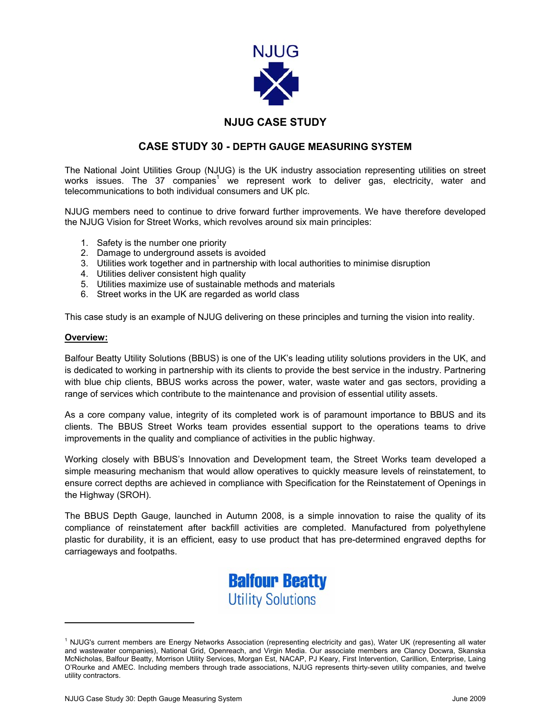

# **NJUG CASE STUDY**

## **CASE STUDY 30 - DEPTH GAUGE MEASURING SYSTEM**

The National Joint Utilities Group (NJUG) is the UK industry association representing utilities on street works issues. The 37 companies<sup>1</sup> we represent work to deliver gas, electricity, water and telecommunications to both individual consumers and UK plc.

NJUG members need to continue to drive forward further improvements. We have therefore developed the NJUG Vision for Street Works, which revolves around six main principles:

- 1. Safety is the number one priority
- 2. Damage to underground assets is avoided
- 3. Utilities work together and in partnership with local authorities to minimise disruption
- 4. Utilities deliver consistent high quality
- 5. Utilities maximize use of sustainable methods and materials
- 6. Street works in the UK are regarded as world class

This case study is an example of NJUG delivering on these principles and turning the vision into reality.

#### **Overview:**

 $\overline{\phantom{a}}$ 

Balfour Beatty Utility Solutions (BBUS) is one of the UK's leading utility solutions providers in the UK, and is dedicated to working in partnership with its clients to provide the best service in the industry. Partnering with blue chip clients, BBUS works across the power, water, waste water and gas sectors, providing a range of services which contribute to the maintenance and provision of essential utility assets.

As a core company value, integrity of its completed work is of paramount importance to BBUS and its clients. The BBUS Street Works team provides essential support to the operations teams to drive improvements in the quality and compliance of activities in the public highway.

Working closely with BBUS's Innovation and Development team, the Street Works team developed a simple measuring mechanism that would allow operatives to quickly measure levels of reinstatement, to ensure correct depths are achieved in compliance with Specification for the Reinstatement of Openings in the Highway (SROH).

The BBUS Depth Gauge, launched in Autumn 2008, is a simple innovation to raise the quality of its compliance of reinstatement after backfill activities are completed. Manufactured from polyethylene plastic for durability, it is an efficient, easy to use product that has pre-determined engraved depths for carriageways and footpaths.



<sup>&</sup>lt;sup>1</sup> NJUG's current members are Energy Networks Association (representing electricity and gas), Water UK (representing all water and wastewater companies), National Grid, Openreach, and Virgin Media. Our associate members are Clancy Docwra, Skanska McNicholas, Balfour Beatty, Morrison Utility Services, Morgan Est, NACAP, PJ Keary, First Intervention, Carillion, Enterprise, Laing O'Rourke and AMEC. Including members through trade associations, NJUG represents thirty-seven utility companies, and twelve utility contractors.